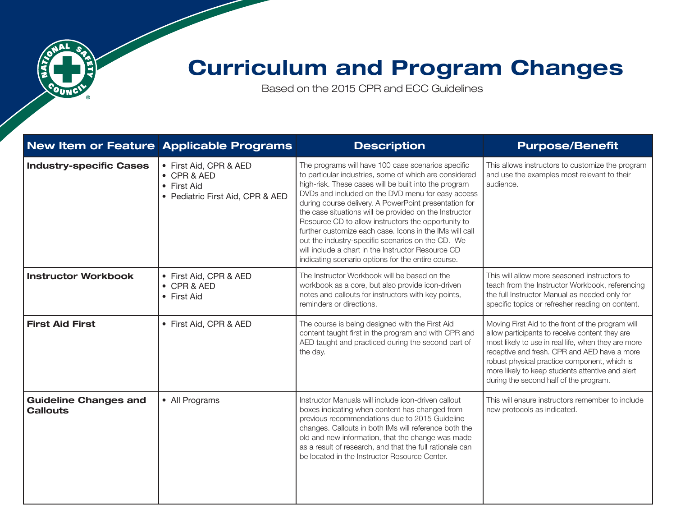

## Curriculum and Program Changes

Based on the 2015 CPR and ECC Guidelines

|                                                 | New Item or Feature Applicable Programs                                                  | <b>Description</b>                                                                                                                                                                                                                                                                                                                                                                                                                                                                                                                                                                                                               | <b>Purpose/Benefit</b>                                                                                                                                                                                                                                                                                                                                   |
|-------------------------------------------------|------------------------------------------------------------------------------------------|----------------------------------------------------------------------------------------------------------------------------------------------------------------------------------------------------------------------------------------------------------------------------------------------------------------------------------------------------------------------------------------------------------------------------------------------------------------------------------------------------------------------------------------------------------------------------------------------------------------------------------|----------------------------------------------------------------------------------------------------------------------------------------------------------------------------------------------------------------------------------------------------------------------------------------------------------------------------------------------------------|
| <b>Industry-specific Cases</b>                  | • First Aid, CPR & AED<br>• CPR & AED<br>• First Aid<br>• Pediatric First Aid, CPR & AED | The programs will have 100 case scenarios specific<br>to particular industries, some of which are considered<br>high-risk. These cases will be built into the program<br>DVDs and included on the DVD menu for easy access<br>during course delivery. A PowerPoint presentation for<br>the case situations will be provided on the Instructor<br>Resource CD to allow instructors the opportunity to<br>further customize each case. Icons in the IMs will call<br>out the industry-specific scenarios on the CD. We<br>will include a chart in the Instructor Resource CD<br>indicating scenario options for the entire course. | This allows instructors to customize the program<br>and use the examples most relevant to their<br>audience.                                                                                                                                                                                                                                             |
| <b>Instructor Workbook</b>                      | • First Aid, CPR & AED<br>• CPR & AED<br>• First Aid                                     | The Instructor Workbook will be based on the<br>workbook as a core, but also provide icon-driven<br>notes and callouts for instructors with key points,<br>reminders or directions.                                                                                                                                                                                                                                                                                                                                                                                                                                              | This will allow more seasoned instructors to<br>teach from the Instructor Workbook, referencing<br>the full Instructor Manual as needed only for<br>specific topics or refresher reading on content.                                                                                                                                                     |
| <b>First Aid First</b>                          | • First Aid, CPR & AED                                                                   | The course is being designed with the First Aid<br>content taught first in the program and with CPR and<br>AED taught and practiced during the second part of<br>the day.                                                                                                                                                                                                                                                                                                                                                                                                                                                        | Moving First Aid to the front of the program will<br>allow participants to receive content they are<br>most likely to use in real life, when they are more<br>receptive and fresh. CPR and AED have a more<br>robust physical practice component, which is<br>more likely to keep students attentive and alert<br>during the second half of the program. |
| <b>Guideline Changes and</b><br><b>Callouts</b> | • All Programs                                                                           | Instructor Manuals will include icon-driven callout<br>boxes indicating when content has changed from<br>previous recommendations due to 2015 Guideline<br>changes. Callouts in both IMs will reference both the<br>old and new information, that the change was made<br>as a result of research, and that the full rationale can<br>be located in the Instructor Resource Center.                                                                                                                                                                                                                                               | This will ensure instructors remember to include<br>new protocols as indicated.                                                                                                                                                                                                                                                                          |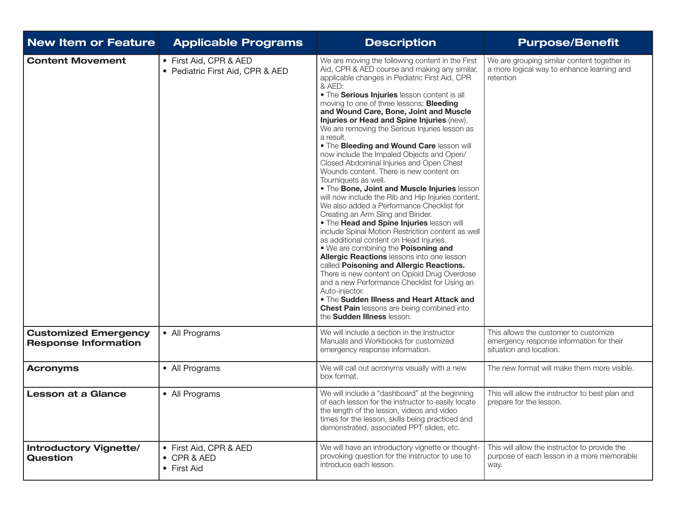| <b>New Item or Feature</b>                                 | <b>Applicable Programs</b>                                   | <b>Description</b>                                                                                                                                                                                                                                                                                                                                                                                                                                                                                                                                                                                                                                                                                                                                                                                                                                                                                                                                                                                                                                                                                                                                                                                                                                                                                                                                               | <b>Purpose/Benefit</b>                                                                                       |
|------------------------------------------------------------|--------------------------------------------------------------|------------------------------------------------------------------------------------------------------------------------------------------------------------------------------------------------------------------------------------------------------------------------------------------------------------------------------------------------------------------------------------------------------------------------------------------------------------------------------------------------------------------------------------------------------------------------------------------------------------------------------------------------------------------------------------------------------------------------------------------------------------------------------------------------------------------------------------------------------------------------------------------------------------------------------------------------------------------------------------------------------------------------------------------------------------------------------------------------------------------------------------------------------------------------------------------------------------------------------------------------------------------------------------------------------------------------------------------------------------------|--------------------------------------------------------------------------------------------------------------|
| <b>Content Movement</b>                                    | • First Aid, CPR & AED<br>• Pediatric First Aid, CPR & AED   | We are moving the following content in the First<br>Aid, CPR & AED course and making any similar,<br>applicable changes in Pediatric First Aid, CPR<br>& AED:<br>. The Serious Injuries lesson content is all<br>moving to one of three lessons: <b>Bleeding</b><br>and Wound Care, Bone, Joint and Muscle<br>Injuries or Head and Spine Injuries (new).<br>We are removing the Serious Injuries lesson as<br>a result.<br>. The Bleeding and Wound Care lesson will<br>now include the Impaled Objects and Open/<br>Closed Abdominal Injuries and Open Chest<br>Wounds content. There is new content on<br>Tourniquets as well.<br>. The Bone, Joint and Muscle Injuries lesson<br>will now include the Rib and Hip Injuries content.<br>We also added a Performance Checklist for<br>Creating an Arm Sling and Binder.<br>. The Head and Spine Injuries lesson will<br>include Spinal Motion Restriction content as well<br>as additional content on Head Injuries.<br>. We are combining the Poisoning and<br>Allergic Reactions lessons into one lesson<br>called Poisoning and Allergic Reactions.<br>There is new content on Opioid Drug Overdose<br>and a new Performance Checklist for Using an<br>Auto-injector.<br>. The Sudden Illness and Heart Attack and<br><b>Chest Pain lessons are being combined into</b><br>the <b>Sudden Illness</b> lesson. | We are grouping similar content together in<br>a more logical way to enhance learning and<br>retention       |
| <b>Customized Emergency</b><br><b>Response Information</b> | • All Programs                                               | We will include a section in the Instructor<br>Manuals and Workbooks for customized<br>emergency response information.                                                                                                                                                                                                                                                                                                                                                                                                                                                                                                                                                                                                                                                                                                                                                                                                                                                                                                                                                                                                                                                                                                                                                                                                                                           | This allows the customer to customize<br>emergency response information for their<br>situation and location. |
| <b>Acronyms</b>                                            | • All Programs                                               | We will call out acronyms visually with a new<br>box format.                                                                                                                                                                                                                                                                                                                                                                                                                                                                                                                                                                                                                                                                                                                                                                                                                                                                                                                                                                                                                                                                                                                                                                                                                                                                                                     | The new format will make them more visible.                                                                  |
| <b>Lesson at a Glance</b>                                  | • All Programs                                               | We will include a "dashboard" at the beginning<br>of each lesson for the instructor to easily locate<br>the length of the lesson, videos and video<br>times for the lesson, skills being practiced and<br>demonstrated, associated PPT slides, etc.                                                                                                                                                                                                                                                                                                                                                                                                                                                                                                                                                                                                                                                                                                                                                                                                                                                                                                                                                                                                                                                                                                              | This will allow the instructor to best plan and<br>prepare for the lesson.                                   |
| <b>Introductory Vignette/</b><br><b>Question</b>           | • First Aid, CPR & AED<br>$\bullet$ CPR & AED<br>• First Aid | We will have an introductory vignette or thought-<br>provoking question for the instructor to use to<br>introduce each lesson.                                                                                                                                                                                                                                                                                                                                                                                                                                                                                                                                                                                                                                                                                                                                                                                                                                                                                                                                                                                                                                                                                                                                                                                                                                   | This will allow the instructor to provide the<br>purpose of each lesson in a more memorable<br>way.          |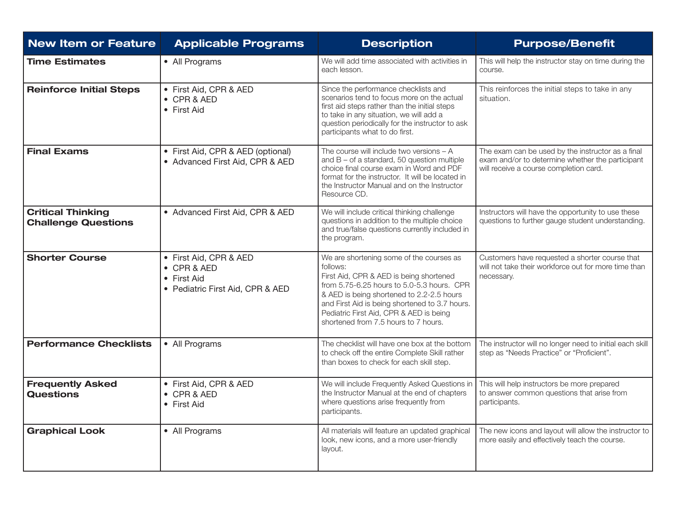| <b>New Item or Feature</b>                             | <b>Applicable Programs</b>                                                               | <b>Description</b>                                                                                                                                                                                                                                                                                                              | <b>Purpose/Benefit</b>                                                                                                                          |
|--------------------------------------------------------|------------------------------------------------------------------------------------------|---------------------------------------------------------------------------------------------------------------------------------------------------------------------------------------------------------------------------------------------------------------------------------------------------------------------------------|-------------------------------------------------------------------------------------------------------------------------------------------------|
| <b>Time Estimates</b>                                  | • All Programs                                                                           | We will add time associated with activities in<br>each lesson.                                                                                                                                                                                                                                                                  | This will help the instructor stay on time during the<br>course.                                                                                |
| <b>Reinforce Initial Steps</b>                         | • First Aid, CPR & AED<br>• CPR & AED<br>• First Aid                                     | Since the performance checklists and<br>scenarios tend to focus more on the actual<br>first aid steps rather than the initial steps<br>to take in any situation, we will add a<br>question periodically for the instructor to ask<br>participants what to do first.                                                             | This reinforces the initial steps to take in any<br>situation.                                                                                  |
| <b>Final Exams</b>                                     | • First Aid, CPR & AED (optional)<br>• Advanced First Aid, CPR & AED                     | The course will include two versions $- A$<br>and $B - of a standard$ , 50 question multiple<br>choice final course exam in Word and PDF<br>format for the instructor. It will be located in<br>the Instructor Manual and on the Instructor<br>Resource CD.                                                                     | The exam can be used by the instructor as a final<br>exam and/or to determine whether the participant<br>will receive a course completion card. |
| <b>Critical Thinking</b><br><b>Challenge Questions</b> | • Advanced First Aid, CPR & AED                                                          | We will include critical thinking challenge<br>questions in addition to the multiple choice<br>and true/false questions currently included in<br>the program.                                                                                                                                                                   | Instructors will have the opportunity to use these<br>questions to further gauge student understanding.                                         |
| <b>Shorter Course</b>                                  | • First Aid, CPR & AED<br>• CPR & AED<br>• First Aid<br>• Pediatric First Aid, CPR & AED | We are shortening some of the courses as<br>follows:<br>First Aid, CPR & AED is being shortened<br>from 5.75-6.25 hours to 5.0-5.3 hours. CPR<br>& AED is being shortened to 2.2-2.5 hours<br>and First Aid is being shortened to 3.7 hours.<br>Pediatric First Aid, CPR & AED is being<br>shortened from 7.5 hours to 7 hours. | Customers have requested a shorter course that<br>will not take their workforce out for more time than<br>necessary.                            |
| <b>Performance Checklists</b>                          | • All Programs                                                                           | The checklist will have one box at the bottom<br>to check off the entire Complete Skill rather<br>than boxes to check for each skill step.                                                                                                                                                                                      | The instructor will no longer need to initial each skill<br>step as "Needs Practice" or "Proficient".                                           |
| <b>Frequently Asked</b><br><b>Questions</b>            | • First Aid, CPR & AED<br>• CPR & AED<br>• First Aid                                     | We will include Frequently Asked Questions in<br>the Instructor Manual at the end of chapters<br>where questions arise frequently from<br>participants.                                                                                                                                                                         | This will help instructors be more prepared<br>to answer common questions that arise from<br>participants.                                      |
| <b>Graphical Look</b>                                  | • All Programs                                                                           | All materials will feature an updated graphical<br>look, new icons, and a more user-friendly<br>layout.                                                                                                                                                                                                                         | The new icons and layout will allow the instructor to<br>more easily and effectively teach the course.                                          |